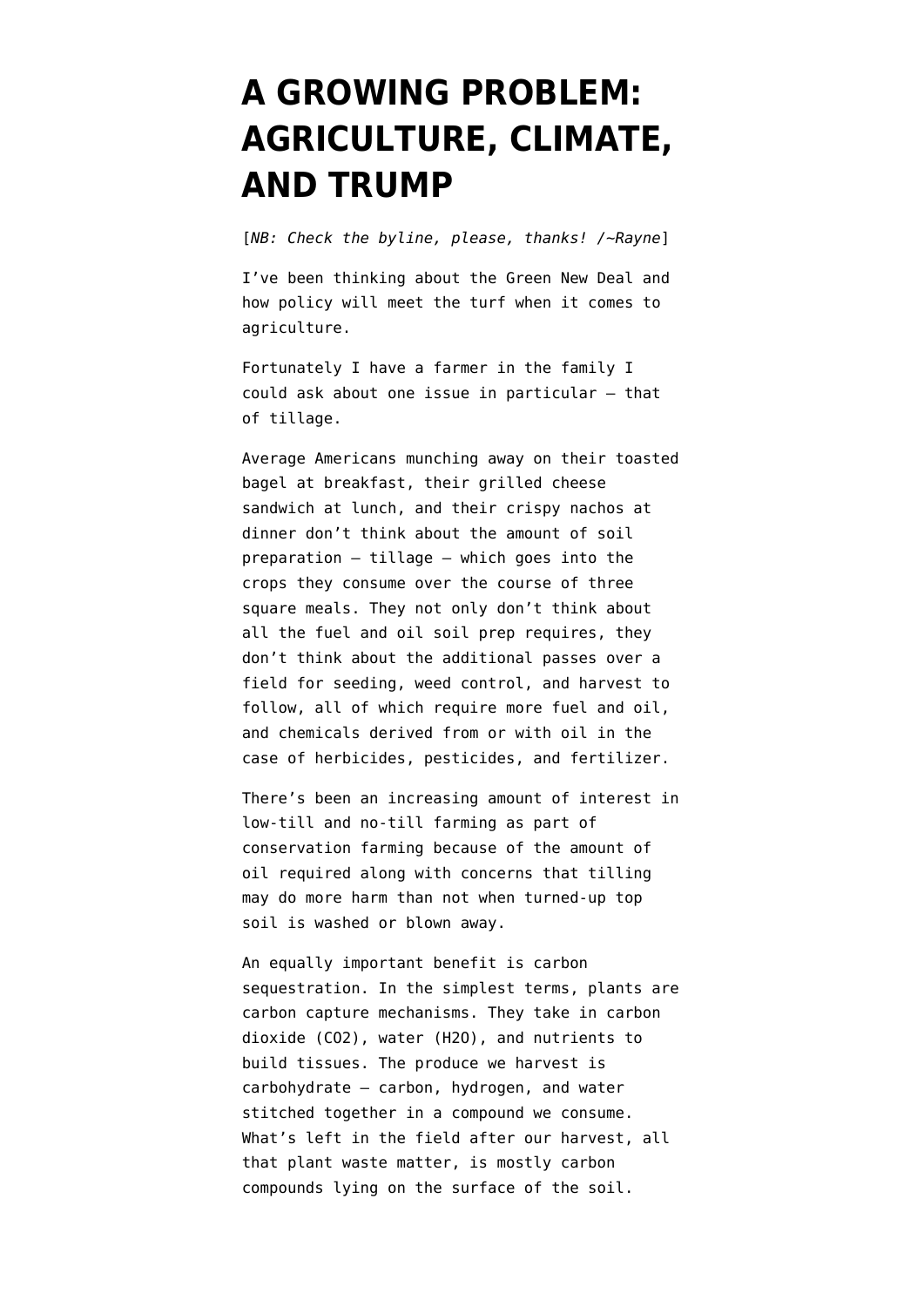## **[A GROWING PROBLEM:](https://www.emptywheel.net/2019/05/21/a-growing-problem-agriculture-climate-and-trump/) [AGRICULTURE, CLIMATE,](https://www.emptywheel.net/2019/05/21/a-growing-problem-agriculture-climate-and-trump/) [AND TRUMP](https://www.emptywheel.net/2019/05/21/a-growing-problem-agriculture-climate-and-trump/)**

[*NB: Check the byline, please, thanks! /~Rayne*]

I've been thinking about the Green New Deal and how policy will meet the turf when it comes to agriculture.

Fortunately I have a farmer in the family I could ask about one issue in particular — that of tillage.

Average Americans munching away on their toasted bagel at breakfast, their grilled cheese sandwich at lunch, and their crispy nachos at dinner don't think about the amount of soil preparation — [tillage](https://en.wikipedia.org/wiki/Tillage) — which goes into the crops they consume over the course of three square meals. They not only don't think about all the fuel and oil soil prep requires, they don't think about the additional passes over a field for seeding, weed control, and harvest to follow, all of which require more fuel and oil, and chemicals derived from or with oil in the case of herbicides, pesticides, and fertilizer.

There's been an increasing amount of interest in low-till and no-till farming as part of [conservation farming](http://www.fao.org/resources/infographics/infographics-details/en/c/216754/) because of the amount of oil required along with concerns that tilling may do more harm than not when turned-up top soil is washed or blown away.

An equally important benefit is [carbon](https://en.wikipedia.org/wiki/Carbon_sink) [sequestration](https://en.wikipedia.org/wiki/Carbon_sink). In the simplest terms, plants are carbon capture mechanisms. They take in carbon dioxide (CO2), water (H2O), and nutrients to build tissues. The produce we harvest is [carbohydrate](https://en.wikipedia.org/wiki/Carbohydrate) — carbon, hydrogen, and water stitched together in a compound we consume. What's left in the field after our harvest, all that plant waste matter, is mostly carbon compounds lying on the surface of the soil.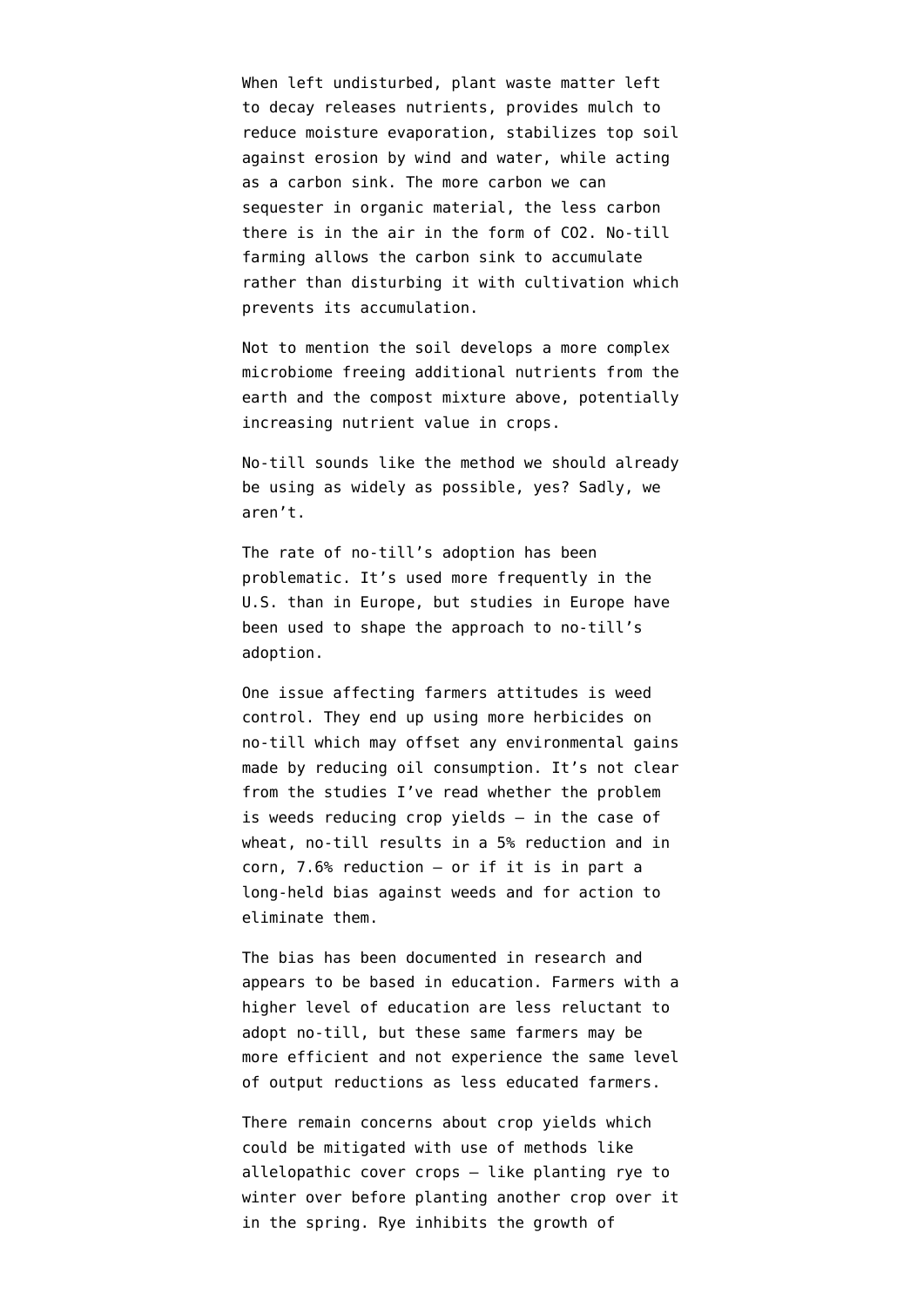When left undisturbed, plant waste matter left to decay releases nutrients, provides mulch to reduce moisture evaporation, stabilizes top soil against erosion by wind and water, while acting as a carbon sink. The more carbon we can sequester in organic material, the less carbon there is in the air in the form of CO2. No-till farming allows the carbon sink to accumulate rather than disturbing it with cultivation which prevents its accumulation.

Not to mention the soil develops a more complex microbiome freeing additional nutrients from the earth and the compost mixture above, potentially increasing nutrient value in crops.

No-till sounds like the method we should already be using as widely as possible, yes? Sadly, we aren't.

The rate of no-till's adoption has been problematic. It's used more frequently in the U.S. than in Europe, but studies in Europe have been used to shape the approach to no-till's adoption.

One issue affecting farmers attitudes is weed control. They end up using more herbicides on no-till which may offset any environmental gains made by reducing oil consumption. It's not clear from the studies I've read whether the problem is weeds reducing crop yields — in the case of wheat, no-till results in a [5% reduction and in](https://www.sciencedirect.com/science/article/pii/S0378429015300228) [corn, 7.6% reduction](https://www.sciencedirect.com/science/article/pii/S0378429015300228) — or if it is in part a long-held bias against weeds and for action to eliminate them.

The bias has been [documented in research](http://citeseerx.ist.psu.edu/viewdoc/download?doi=10.1.1.595.6474&rep=rep1&type=pdf) and appears to be based in education. Farmers with a higher level of education are less reluctant to adopt no-till, but these same farmers may be more efficient and not experience the same level of output reductions as less educated farmers.

There remain concerns about crop yields which could be mitigated with use of methods like [allelopathic cover crops](https://en.wikipedia.org/wiki/Allelopathy) — like planting rye to winter over before planting another crop over it in the spring. Rye inhibits the growth of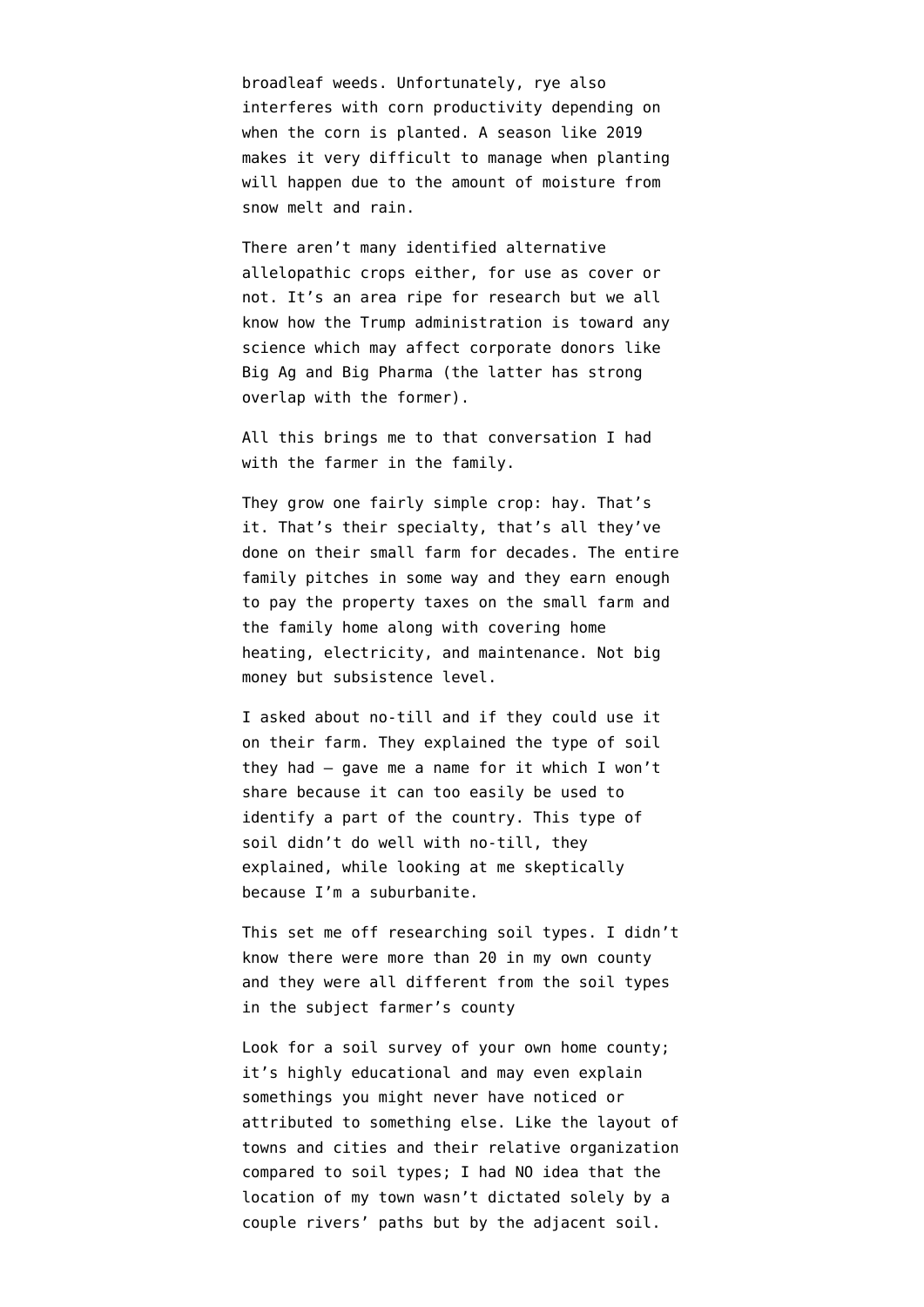broadleaf weeds. Unfortunately, rye also [interferes with corn productivity](https://www.agweb.com/article/dont-let-covers-ding-a-cash-crop-naa-darrell-smith/) depending on when the corn is planted. A season like 2019 makes it very difficult to manage when planting will happen due to the amount of moisture from snow melt and rain.

There aren't many identified alternative allelopathic crops either, for use as cover or not. It's an area ripe for research but we all know how the Trump administration is toward any science which may affect corporate donors like Big Ag and Big Pharma (the latter has strong overlap with the former).

All this brings me to that conversation I had with the farmer in the family.

They grow one fairly simple crop: hay. That's it. That's their specialty, that's all they've done on their small farm for decades. The entire family pitches in some way and they earn enough to pay the property taxes on the small farm and the family home along with covering home heating, electricity, and maintenance. Not big money but subsistence level.

I asked about no-till and if they could use it on their farm. They explained the type of soil they had — gave me a name for it which I won't share because it can too easily be used to identify a part of the country. This type of soil didn't do well with no-till, they explained, while looking at me skeptically because I'm a suburbanite.

This set me off researching soil types. I didn't know there were more than 20 in my own county and they were all different from the soil types in the subject farmer's county

Look for a soil survey of your own home county; it's highly educational and may even explain somethings you might never have noticed or attributed to something else. Like the layout of towns and cities and their relative organization compared to soil types; I had NO idea that the location of my town wasn't dictated solely by a couple rivers' paths but by the adjacent soil.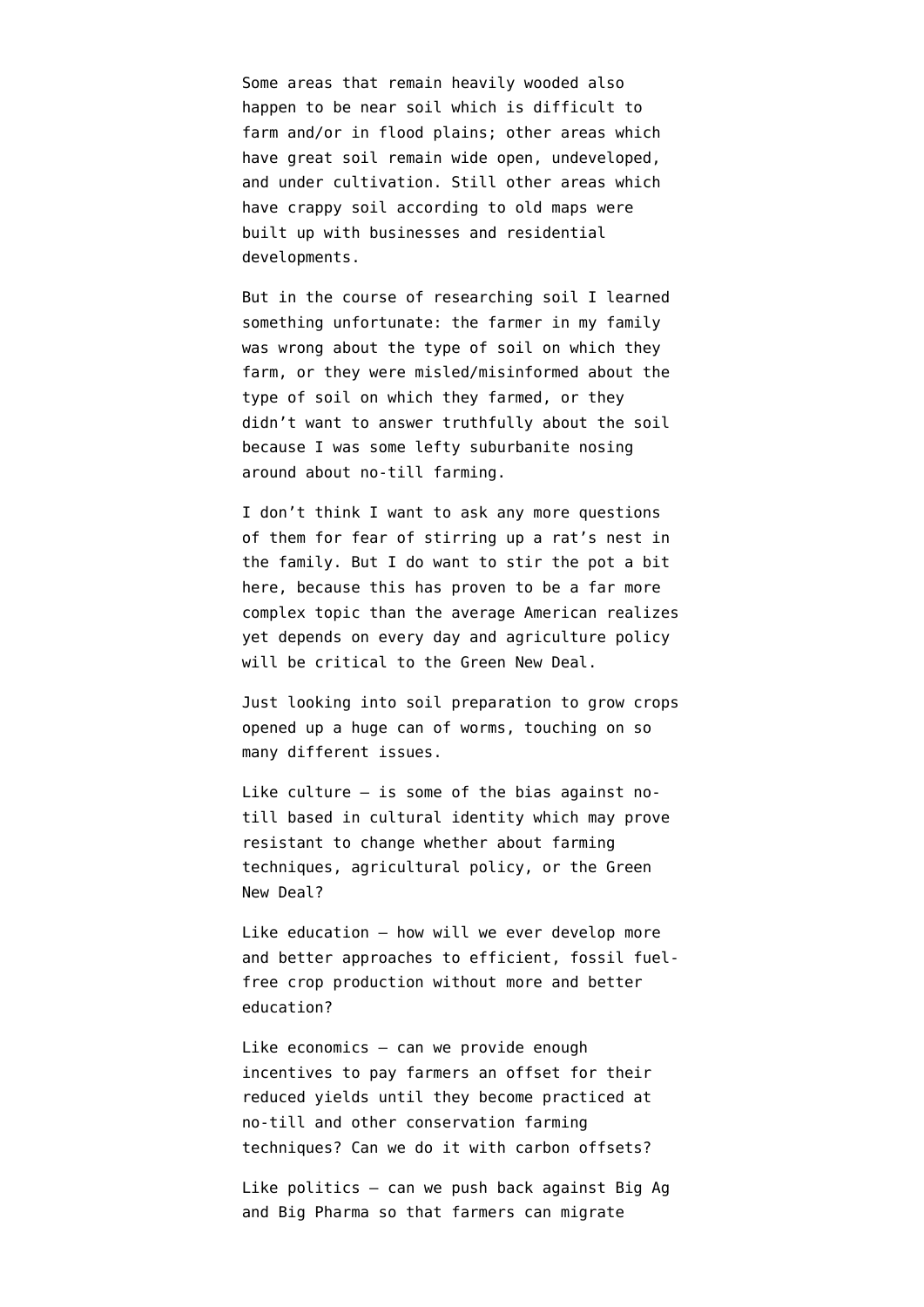Some areas that remain heavily wooded also happen to be near soil which is difficult to farm and/or in flood plains; other areas which have great soil remain wide open, undeveloped, and under cultivation. Still other areas which have crappy soil according to old maps were built up with businesses and residential developments.

But in the course of researching soil I learned something unfortunate: the farmer in my family was wrong about the type of soil on which they farm, or they were misled/misinformed about the type of soil on which they farmed, or they didn't want to answer truthfully about the soil because I was some lefty suburbanite nosing around about no-till farming.

I don't think I want to ask any more questions of them for fear of stirring up a rat's nest in the family. But I do want to stir the pot a bit here, because this has proven to be a far more complex topic than the average American realizes yet depends on every day and agriculture policy will be critical to the Green New Deal.

Just looking into soil preparation to grow crops opened up a huge can of worms, touching on so many different issues.

Like culture — is some of the bias against notill based in cultural identity which may prove resistant to change whether about farming techniques, agricultural policy, or the Green New Deal?

Like education — how will we ever develop more and better approaches to efficient, fossil fuelfree crop production without more and better education?

Like economics — can we provide enough incentives to pay farmers an offset for their reduced yields until they become practiced at no-till and other conservation farming techniques? Can we do it with carbon offsets?

Like politics — can we push back against Big Ag and Big Pharma so that farmers can migrate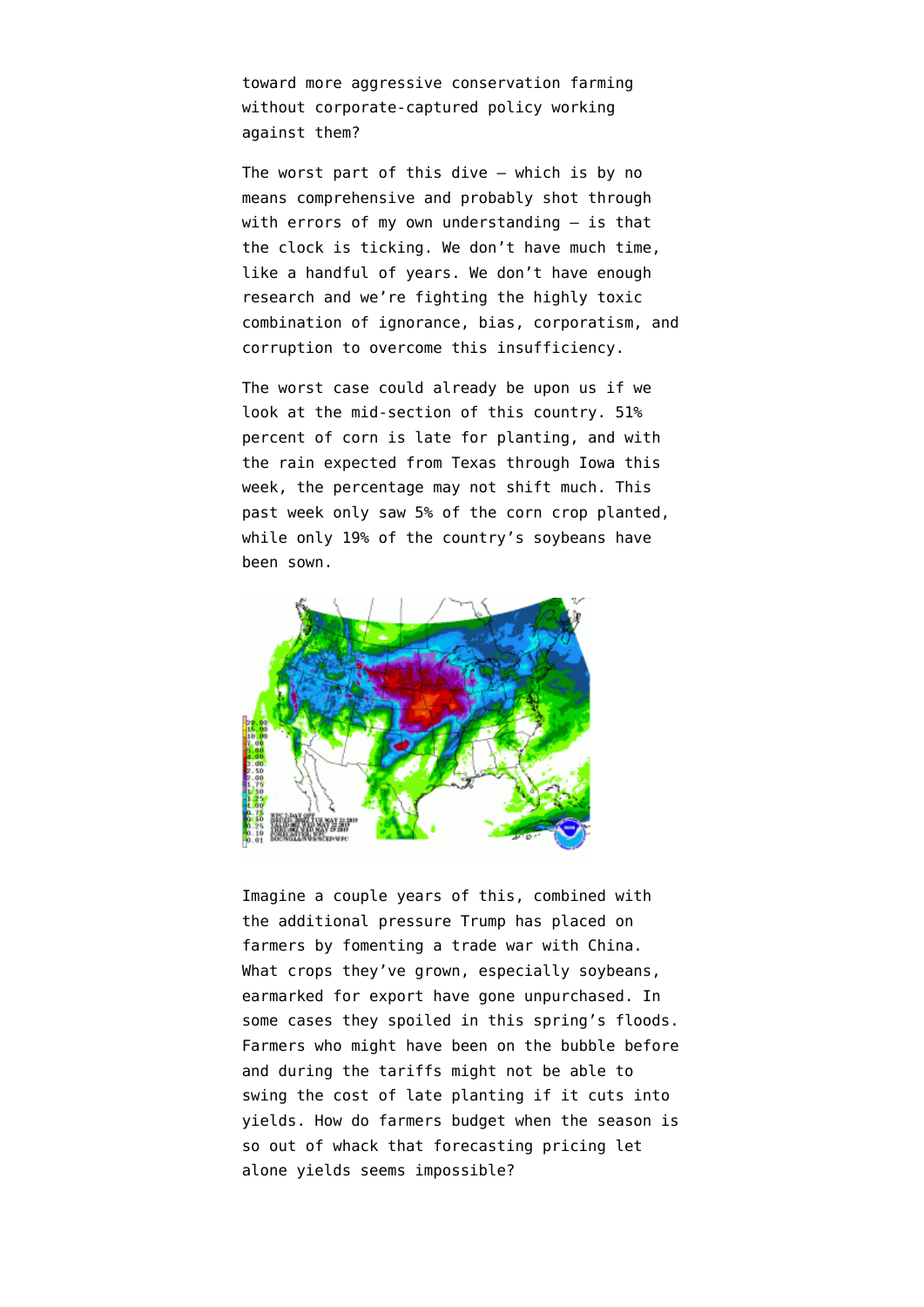toward more aggressive conservation farming without corporate-captured policy working against them?

The worst part of this dive — which is by no means comprehensive and probably shot through with errors of my own understanding  $-$  is that the clock is ticking. We don't have much time, like a handful of years. We don't have enough research and we're fighting the highly toxic combination of ignorance, bias, corporatism, and corruption to overcome this insufficiency.

The worst case could already be upon us if we look at the mid-section of this country. [51%](https://www.bloomberg.com/news/articles/2019-05-20/usda-crop-progress-corn-crop-49-planted-lowest-on-record) [percent of corn is late for planting](https://www.bloomberg.com/news/articles/2019-05-20/usda-crop-progress-corn-crop-49-planted-lowest-on-record), and with the rain expected from Texas through Iowa this week, the percentage may not shift much. This past week only saw 5% of the corn crop planted, while only 19% of the country's soybeans have been sown.



Imagine a couple years of this, combined with the additional pressure Trump has placed on farmers by [fomenting a trade war with China](https://www.desmoinesregister.com/story/money/agriculture/2019/05/10/us-china-trade-war-iowa-farmers-take-hit-tariffs-increase/1143730001/). What crops they've grown, especially soybeans, earmarked for export have gone unpurchased. In some cases they [spoiled in this spring's floods.](https://www.desmoinesregister.com/story/money/agriculture/2019/04/03/iowa-flooding-nebraska-missouri-river-farm-losses-damage-2-billion-ag-group-bureau-crop-insurance/3351972002/) Farmers who might have been on the bubble before and during the tariffs might not be able to swing the cost of late planting if it cuts into yields. How do farmers budget when the season is so out of whack that forecasting pricing let alone yields seems impossible?